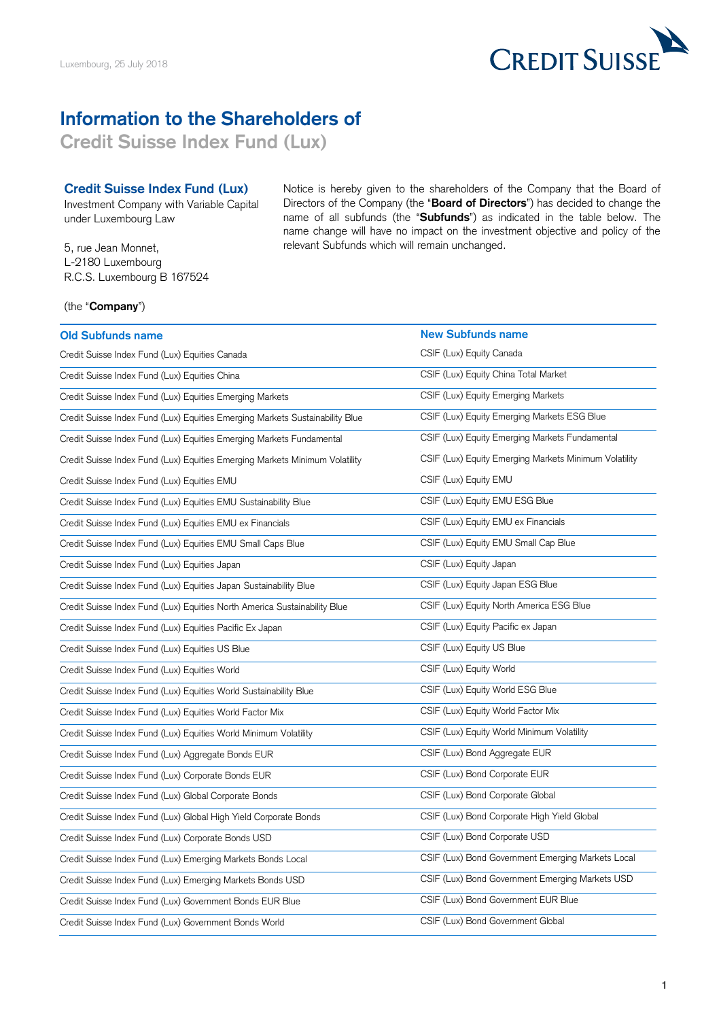

## **Information to the Shareholders of**

**Credit Suisse Index Fund (Lux)**

## **Credit Suisse Index Fund (Lux)**

Investment Company with Variable Capital under Luxembourg Law

5, rue Jean Monnet, L-2180 Luxembourg R.C.S. Luxembourg B 167524 Notice is hereby given to the shareholders of the Company that the Board of Directors of the Company (the "**Board of Directors**") has decided to change the name of all subfunds (the "**Subfunds**") as indicated in the table below. The name change will have no impact on the investment objective and policy of the relevant Subfunds which will remain unchanged.

## (the "**Company**")

| <b>Old Subfunds name</b>                                                     | <b>New Subfunds name</b>                              |
|------------------------------------------------------------------------------|-------------------------------------------------------|
| Credit Suisse Index Fund (Lux) Equities Canada                               | CSIF (Lux) Equity Canada                              |
| Credit Suisse Index Fund (Lux) Equities China                                | CSIF (Lux) Equity China Total Market                  |
| Credit Suisse Index Fund (Lux) Equities Emerging Markets                     | CSIF (Lux) Equity Emerging Markets                    |
| Credit Suisse Index Fund (Lux) Equities Emerging Markets Sustainability Blue | CSIF (Lux) Equity Emerging Markets ESG Blue           |
| Credit Suisse Index Fund (Lux) Equities Emerging Markets Fundamental         | CSIF (Lux) Equity Emerging Markets Fundamental        |
| Credit Suisse Index Fund (Lux) Equities Emerging Markets Minimum Volatility  | CSIF (Lux) Equity Emerging Markets Minimum Volatility |
| Credit Suisse Index Fund (Lux) Equities EMU                                  | CSIF (Lux) Equity EMU                                 |
| Credit Suisse Index Fund (Lux) Equities EMU Sustainability Blue              | CSIF (Lux) Equity EMU ESG Blue                        |
| Credit Suisse Index Fund (Lux) Equities EMU ex Financials                    | CSIF (Lux) Equity EMU ex Financials                   |
| Credit Suisse Index Fund (Lux) Equities EMU Small Caps Blue                  | CSIF (Lux) Equity EMU Small Cap Blue                  |
| Credit Suisse Index Fund (Lux) Equities Japan                                | CSIF (Lux) Equity Japan                               |
| Credit Suisse Index Fund (Lux) Equities Japan Sustainability Blue            | CSIF (Lux) Equity Japan ESG Blue                      |
| Credit Suisse Index Fund (Lux) Equities North America Sustainability Blue    | CSIF (Lux) Equity North America ESG Blue              |
| Credit Suisse Index Fund (Lux) Equities Pacific Ex Japan                     | CSIF (Lux) Equity Pacific ex Japan                    |
| Credit Suisse Index Fund (Lux) Equities US Blue                              | CSIF (Lux) Equity US Blue                             |
| Credit Suisse Index Fund (Lux) Equities World                                | CSIF (Lux) Equity World                               |
| Credit Suisse Index Fund (Lux) Equities World Sustainability Blue            | CSIF (Lux) Equity World ESG Blue                      |
| Credit Suisse Index Fund (Lux) Equities World Factor Mix                     | CSIF (Lux) Equity World Factor Mix                    |
| Credit Suisse Index Fund (Lux) Equities World Minimum Volatility             | CSIF (Lux) Equity World Minimum Volatility            |
| Credit Suisse Index Fund (Lux) Aggregate Bonds EUR                           | CSIF (Lux) Bond Aggregate EUR                         |
| Credit Suisse Index Fund (Lux) Corporate Bonds EUR                           | CSIF (Lux) Bond Corporate EUR                         |
| Credit Suisse Index Fund (Lux) Global Corporate Bonds                        | CSIF (Lux) Bond Corporate Global                      |
| Credit Suisse Index Fund (Lux) Global High Yield Corporate Bonds             | CSIF (Lux) Bond Corporate High Yield Global           |
| Credit Suisse Index Fund (Lux) Corporate Bonds USD                           | CSIF (Lux) Bond Corporate USD                         |
| Credit Suisse Index Fund (Lux) Emerging Markets Bonds Local                  | CSIF (Lux) Bond Government Emerging Markets Local     |
| Credit Suisse Index Fund (Lux) Emerging Markets Bonds USD                    | CSIF (Lux) Bond Government Emerging Markets USD       |
| Credit Suisse Index Fund (Lux) Government Bonds EUR Blue                     | CSIF (Lux) Bond Government EUR Blue                   |
| Credit Suisse Index Fund (Lux) Government Bonds World                        | CSIF (Lux) Bond Government Global                     |